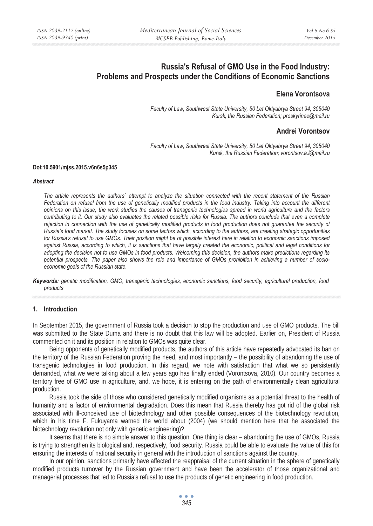## **Russia's Refusal of GMO Use in the Food Industry: Problems and Prospects under the Conditions of Economic Sanctions**

## **Elena Vorontsova**

*Faculty of Law, Southwest State University, 50 Let Oktyabrya Street 94, 305040 Kursk, the Russian Federation; proskyrinae@mail.ru* 

### **Andrei Vorontsov**

*Faculty of Law, Southwest State University, 50 Let Oktyabrya Street 94, 305040 Kursk, the Russian Federation; vorontsov.a.l@mail.ru* 

#### **Doi:10.5901/mjss.2015.v6n6s5p345**

#### *Abstract*

*The article represents the authors` attempt to analyze the situation connected with the recent statement of the Russian Federation on refusal from the use of genetically modified products in the food industry. Taking into account the different opinions on this issue, the work studies the causes of transgenic technologies spread in world agriculture and the factors contributing to it. Our study also evaluates the related possible risks for Russia. The authors conclude that even a complete rejection in connection with the use of genetically modified products in food production does not guarantee the security of Russia's food market. The study focuses on some factors which, according to the authors, are creating strategic opportunities for Russia's refusal to use GMOs. Their position might be of possible interest here in relation to economic sanctions imposed against Russia, according to which, it is sanctions that have largely created the economic, political and legal conditions for adopting the decision not to use GMOs in food products. Welcoming this decision, the authors make predictions regarding its potential prospects. The paper also shows the role and importance of GMOs prohibition in achieving a number of socioeconomic goals of the Russian state.* 

*Keywords: genetic modification, GMO, transgenic technologies, economic sanctions, food security, agricultural production, food products* 

# **1. Introduction**

In September 2015, the government of Russia took a decision to stop the production and use of GMO products. The bill was submitted to the State Duma and there is no doubt that this law will be adopted. Earlier on, President of Russia commented on it and its position in relation to GMOs was quite clear.

Being opponents of genetically modified products, the authors of this article have repeatedly advocated its ban on the territory of the Russian Federation proving the need, and most importantly – the possibility of abandoning the use of transgenic technologies in food production. In this regard, we note with satisfaction that what we so persistently demanded, what we were talking about a few years ago has finally ended (Vorontsova, 2010). Our country becomes a territory free of GMO use in agriculture, and, we hope, it is entering on the path of environmentally clean agricultural production.

Russia took the side of those who considered genetically modified organisms as a potential threat to the health of humanity and a factor of environmental degradation. Does this mean that Russia thereby has got rid of the global risk associated with ill-conceived use of biotechnology and other possible consequences of the biotechnology revolution, which in his time F. Fukuyama warned the world about (2004) (we should mention here that he associated the biotechnology revolution not only with genetic engineering)?

It seems that there is no simple answer to this question. One thing is clear – abandoning the use of GMOs, Russia is trying to strengthen its biological and, respectively, food security. Russia could be able to evaluate the value of this for ensuring the interests of national security in general with the introduction of sanctions against the country.

In our opinion, sanctions primarily have affected the reappraisal of the current situation in the sphere of genetically modified products turnover by the Russian government and have been the accelerator of those organizational and managerial processes that led to Russia's refusal to use the products of genetic engineering in food production.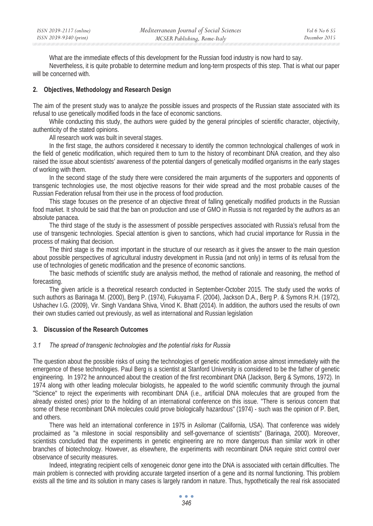What are the immediate effects of this development for the Russian food industry is now hard to say.

Nevertheless, it is quite probable to determine medium and long-term prospects of this step. That is what our paper will be concerned with.

### **2. Objectives, Methodology and Research Design**

The aim of the present study was to analyze the possible issues and prospects of the Russian state associated with its refusal to use genetically modified foods in the face of economic sanctions.

While conducting this study, the authors were guided by the general principles of scientific character, objectivity, authenticity of the stated opinions.

All research work was built in several stages.

In the first stage, the authors considered it necessary to identify the common technological challenges of work in the field of genetic modification, which required them to turn to the history of recombinant DNA creation, and they also raised the issue about scientists' awareness of the potential dangers of genetically modified organisms in the early stages of working with them.

In the second stage of the study there were considered the main arguments of the supporters and opponents of transgenic technologies use, the most objective reasons for their wide spread and the most probable causes of the Russian Federation refusal from their use in the process of food production.

This stage focuses on the presence of an objective threat of falling genetically modified products in the Russian food market. It should be said that the ban on production and use of GMO in Russia is not regarded by the authors as an absolute panacea.

The third stage of the study is the assessment of possible perspectives associated with Russia's refusal from the use of transgenic technologies. Special attention is given to sanctions, which had crucial importance for Russia in the process of making that decision.

The third stage is the most important in the structure of our research as it gives the answer to the main question about possible perspectives of agricultural industry development in Russia (and not only) in terms of its refusal from the use of technologies of genetic modification and the presence of economic sanctions.

The basic methods of scientific study are analysis method, the method of rationale and reasoning, the method of forecasting.

The given article is a theoretical research conducted in September-October 2015. The study used the works of such authors as Barinaga M. (2000), Berg P. (1974), Fukuyama F. (2004), Jackson D.A., Berg P. & Symons R.H. (1972), Ushachev I.G. (2009), Vir. Singh Vandana Shiva, Vinod K. Bhatt (2014). In addition, the authors used the results of own their own studies carried out previously, as well as international and Russian legislation

#### **3. Discussion of the Research Outcomes**

#### *3.1 The spread of transgenic technologies and the potential risks for Russia*

The question about the possible risks of using the technologies of genetic modification arose almost immediately with the emergence of these technologies. Paul Berg is a scientist at Stanford University is considered to be the father of genetic engineering. In 1972 he announced about the creation of the first recombinant DNA (Jackson, Berg & Symons, 1972). In 1974 along with other leading molecular biologists, he appealed to the world scientific community through the journal "Science" to reject the experiments with recombinant DNA (i.e., artificial DNA molecules that are grouped from the already existed ones) prior to the holding of an international conference on this issue. "There is serious concern that some of these recombinant DNA molecules could prove biologically hazardous" (1974) - such was the opinion of P. Bert, and others.

There was held an international conference in 1975 in Asilomar (California, USA). That conference was widely proclaimed as "a milestone in social responsibility and self-governance of scientists" (Barinaga, 2000). Moreover, scientists concluded that the experiments in genetic engineering are no more dangerous than similar work in other branches of biotechnology. However, as elsewhere, the experiments with recombinant DNA require strict control over observance of security measures.

Indeed, integrating recipient cells of xenogeneic donor gene into the DNA is associated with certain difficulties. The main problem is connected with providing accurate targeted insertion of a gene and its normal functioning. This problem exists all the time and its solution in many cases is largely random in nature. Thus, hypothetically the real risk associated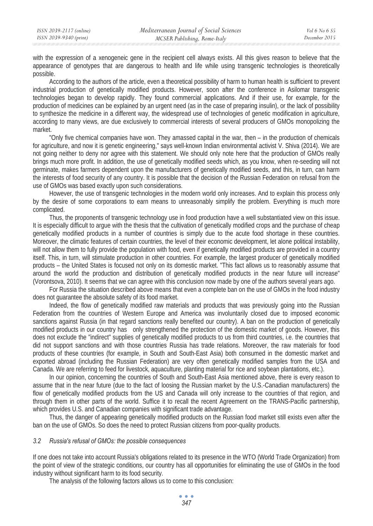with the expression of a xenogeneic gene in the recipient cell always exists. All this gives reason to believe that the appearance of genotypes that are dangerous to health and life while using transgenic technologies is theoretically possible.

According to the authors of the article, even a theoretical possibility of harm to human health is sufficient to prevent industrial production of genetically modified products. However, soon after the conference in Asilomar transgenic technologies began to develop rapidly. They found commercial applications. And if their use, for example, for the production of medicines can be explained by an urgent need (as in the case of preparing insulin), or the lack of possibility to synthesize the medicine in a different way, the widespread use of technologies of genetic modification in agriculture, according to many views, are due exclusively to commercial interests of several producers of GMOs monopolizing the market.

"Only five chemical companies have won. They amassed capital in the war, then – in the production of chemicals for agriculture, and now it is genetic engineering," says well-known Indian environmental activist V. Shiva (2014). We are not going neither to deny nor agree with this statement. We should only note here that the production of GMOs really brings much more profit. In addition, the use of genetically modified seeds which, as you know, when re-seeding will not germinate, makes farmers dependent upon the manufacturers of genetically modified seeds, and this, in turn, can harm the interests of food security of any country. It is possible that the decision of the Russian Federation on refusal from the use of GMOs was based exactly upon such considerations.

However, the use of transgenic technologies in the modern world only increases. And to explain this process only by the desire of some corporations to earn means to unreasonably simplify the problem. Everything is much more complicated.

Thus, the proponents of transgenic technology use in food production have a well substantiated view on this issue. It is especially difficult to argue with the thesis that the cultivation of genetically modified crops and the purchase of cheap genetically modified products in a number of countries is simply due to the acute food shortage in these countries. Moreover, the climatic features of certain countries, the level of their economic development, let alone political instability, will not allow them to fully provide the population with food, even if genetically modified products are provided in a country itself. This, in turn, will stimulate production in other countries. For example, the largest producer of genetically modified products – the United States is focused not only on its domestic market. "This fact allows us to reasonably assume that around the world the production and distribution of genetically modified products in the near future will increase" (Vorontsova, 2010). It seems that we can agree with this conclusion now made by one of the authors several years ago.

For Russia the situation described above means that even a complete ban on the use of GMOs in the food industry does not guarantee the absolute safety of its food market.

Indeed, the flow of genetically modified raw materials and products that was previously going into the Russian Federation from the countries of Western Europe and America was involuntarily closed due to imposed economic sanctions against Russia (in that regard sanctions really benefited our country). A ban on the production of genetically modified products in our country has only strengthened the protection of the domestic market of goods. However, this does not exclude the "indirect" supplies of genetically modified products to us from third countries, i.e. the countries that did not support sanctions and with those countries Russia has trade relations. Moreover, the raw materials for food products of these countries (for example, in South and South-East Asia) both consumed in the domestic market and exported abroad (including the Russian Federation) are very often genetically modified samples from the USA and Canada. We are referring to feed for livestock, aquaculture, planting material for rice and soybean plantations, etc.).

In our opinion, concerning the countries of South and South-East Asia mentioned above, there is every reason to assume that in the near future (due to the fact of loosing the Russian market by the U.S.-Canadian manufacturers) the flow of genetically modified products from the US and Canada will only increase to the countries of that region, and through them in other parts of the world. Suffice it to recall the recent Agreement on the TRANS-Pacific partnership, which provides U.S. and Canadian companies with significant trade advantage.

Thus, the danger of appearing genetically modified products on the Russian food market still exists even after the ban on the use of GMOs. So does the need to protect Russian citizens from poor-quality products.

#### *3.2 Russia's refusal of GMOs: the possible consequences*

If one does not take into account Russia's obligations related to its presence in the WTO (World Trade Organization) from the point of view of the strategic conditions, our country has all opportunities for eliminating the use of GMOs in the food industry without significant harm to its food security.

The analysis of the following factors allows us to come to this conclusion: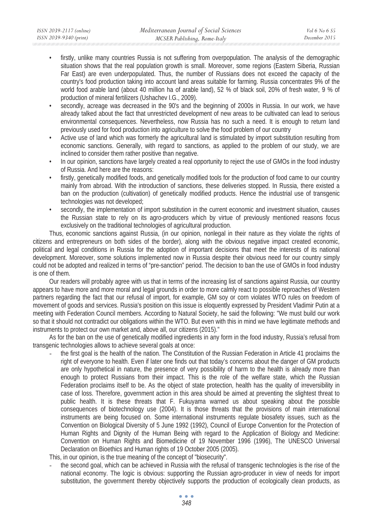- firstly, unlike many countries Russia is not suffering from overpopulation. The analysis of the demographic situation shows that the real population growth is small. Moreover, some regions (Eastern Siberia, Russian Far East) are even underpopulated. Thus, the number of Russians does not exceed the capacity of the country's food production taking into account land areas suitable for farming. Russia concentrates 9% of the world food arable land (about 40 million ha of arable land), 52 % of black soil, 20% of fresh water, 9 % of production of mineral fertilizers (Ushachev I.G., 2009).
- secondly, acreage was decreased in the 90's and the beginning of 2000s in Russia. In our work, we have already talked about the fact that unrestricted development of new areas to be cultivated can lead to serious environmental consequences. Nevertheless, now Russia has no such a need. It is enough to return land previously used for food production into agriculture to solve the food problem of our country
- Active use of land which was formerly the agricultural land is stimulated by import substitution resulting from economic sanctions. Generally, with regard to sanctions, as applied to the problem of our study, we are inclined to consider them rather positive than negative.
- In our opinion, sanctions have largely created a real opportunity to reject the use of GMOs in the food industry of Russia. And here are the reasons:
- firstly, genetically modified foods, and genetically modified tools for the production of food came to our country mainly from abroad. With the introduction of sanctions, these deliveries stopped. In Russia, there existed a ban on the production (cultivation) of genetically modified products. Hence the industrial use of transgenic technologies was not developed;
- secondly, the implementation of import substitution in the current economic and investment situation, causes the Russian state to rely on its agro-producers which by virtue of previously mentioned reasons focus exclusively on the traditional technologies of agricultural production.

Thus, economic sanctions against Russia, (in our opinion, nonlegal in their nature as they violate the rights of citizens and entrepreneurs on both sides of the border), along with the obvious negative impact created economic, political and legal conditions in Russia for the adoption of important decisions that meet the interests of its national development. Moreover, some solutions implemented now in Russia despite their obvious need for our country simply could not be adopted and realized in terms of "pre-sanction" period. The decision to ban the use of GMOs in food industry is one of them.

Our readers will probably agree with us that in terms of the increasing list of sanctions against Russia, our country appears to have more and more moral and legal grounds in order to more calmly react to possible reproaches of Western partners regarding the fact that our refusal of import, for example, GM soy or corn violates WTO rules on freedom of movement of goods and services. Russia's position on this issue is eloquently expressed by President Vladimir Putin at a meeting with Federation Council members. According to Natural Society, he said the following: "We must build our work so that it should not contradict our obligations within the WTO. But even with this in mind we have legitimate methods and instruments to protect our own market and, above all, our citizens (2015)."

As for the ban on the use of genetically modified ingredients in any form in the food industry, Russia's refusal from transgenic technologies allows to achieve several goals at once:

- the first goal is the health of the nation. The Constitution of the Russian Federation in Article 41 proclaims the right of everyone to health. Even if later one finds out that today's concerns about the danger of GM products are only hypothetical in nature, the presence of very possibility of harm to the health is already more than enough to protect Russians from their impact. This is the role of the welfare state, which the Russian Federation proclaims itself to be. As the object of state protection, health has the quality of irreversibility in case of loss. Therefore, government action in this area should be aimed at preventing the slightest threat to public health. It is these threats that F. Fukuyama warned us about speaking about the possible consequences of biotechnology use (2004). It is those threats that the provisions of main international instruments are being focused on. Some international instruments regulate biosafety issues, such as the Convention on Biological Diversity of 5 June 1992 (1992), Council of Europe Convention for the Protection of Human Rights and Dignity of the Human Being with regard to the Application of Biology and Medicine: Convention on Human Rights and Biomedicine of 19 November 1996 (1996), The UNESCO Universal Declaration on Bioethics and Human rights of 19 October 2005 (2005).

This, in our opinion, is the true meaning of the concept of "biosecurity".

the second goal, which can be achieved in Russia with the refusal of transgenic technologies is the rise of the national economy. The logic is obvious: supporting the Russian agro-producer in view of needs for import substitution, the government thereby objectively supports the production of ecologically clean products, as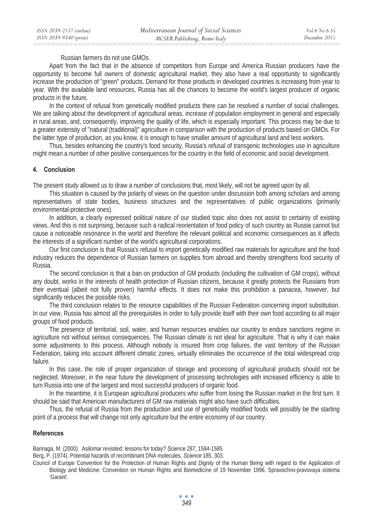Russian farmers do not use GMOs.

Apart from the fact that in the absence of competitors from Europe and America Russian producers have the opportunity to become full owners of domestic agricultural market, they also have a real opportunity to significantly increase the production of "green" products. Demand for those products in developed countries is increasing from year to year. With the available land resources, Russia has all the chances to become the world's largest producer of organic products in the future.

In the context of refusal from genetically modified products there can be resolved a number of social challenges. We are talking about the development of agricultural areas, increase of population employment in general and especially in rural areas, and, consequently, improving the quality of life, which is especially important. This process may be due to a greater extensity of "natural (traditional)" agriculture in comparison with the production of products based on GMOs. For the latter type of production, as you know, it is enough to have smaller amount of agricultural land and less workers.

Thus, besides enhancing the country's food security, Russia's refusal of transgenic technologies use in agriculture might mean a number of other positive consequences for the country in the field of economic and social development.

### **4. Conclusion**

The present study allowed us to draw a number of conclusions that, most likely, will not be agreed upon by all.

This situation is caused by the polarity of views on the question under discussion both among scholars and among representatives of state bodies, business structures and the representatives of public organizations (primarily environmental-protective ones).

In addition, a clearly expressed political nature of our studied topic also does not assist to certainty of existing views. And this is not surprising, because such a radical reorientation of food policy of such country as Russia cannot but cause a noticeable resonance in the world and therefore the relevant political and economic consequences as it affects the interests of a significant number of the world's agricultural corporations.

Our first conclusion is that Russia's refusal to import genetically modified raw materials for agriculture and the food industry reduces the dependence of Russian farmers on supplies from abroad and thereby strengthens food security of Russia.

The second conclusion is that a ban on production of GM products (including the cultivation of GM crops), without any doubt, works in the interests of health protection of Russian citizens, because it greatly protects the Russians from their eventual (albeit not fully proven) harmful effects. It does not make this prohibition a panacea, however, but significantly reduces the possible risks.

The third conclusion relates to the resource capabilities of the Russian Federation concerning import substitution. In our view, Russia has almost all the prerequisites in order to fully provide itself with their own food according to all major groups of food products.

The presence of territorial, soil, water, and human resources enables our country to endure sanctions regime in agriculture not without serious consequences. The Russian climate is not ideal for agriculture. That is why it can make some adjustments to this process. Although nobody is insured from crop failures, the vast territory of the Russian Federation, taking into account different climatic zones, virtually eliminates the occurrence of the total widespread crop failure.

In this case, the role of proper organization of storage and processing of agricultural products should not be neglected. Moreover, in the near future the development of processing technologies with increased efficiency is able to turn Russia into one of the largest and most successful producers of organic food.

In the meantime, it is European agricultural producers who suffer from losing the Russian market in the first turn. It should be said that American manufacturers of GM raw materials might also have such difficulties.

Thus, the refusal of Russia from the production and use of genetically modified foods will possibly be the starting point of a process that will change not only agriculture but the entire economy of our country.

#### **References**

Barinaga, M. (2000). Asilomar revisited: lessons for today? *Science* 287, 1584-1585. Berg, P. (1974). Potential hazards of recombinant DNA molecules, *Science* 185, 303.

Council of Europe Convention for the Protection of Human Rights and Dignity of the Human Being with regard to the Application of Biology and Medicine: Convention on Human Rights and Biomedicine of 19 November 1996. Spravochno-pravovaya sistema 'Garant'.